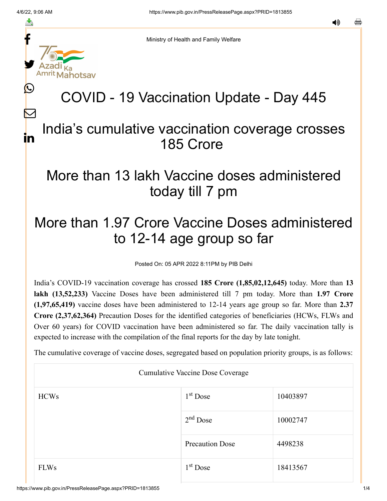f

≛

y.

lahotsav

L

 $\bm{\nabla}$ 

in

Ministry of Health and Family Welfare

## COVID - 19 Vaccination Update - Day 445

## India's cumulative vaccination coverage crosses 185 Crore

## More than 13 lakh Vaccine doses administered today till 7 pm

## More than 1.97 Crore Vaccine Doses administered to 12-14 age group so far

Posted On: 05 APR 2022 8:11PM by PIB Delhi

India's COVID-19 vaccination coverage has crossed **185 Crore (1,85,02,12,645)** today. More than **13 lakh (13,52,233)** Vaccine Doses have been administered till 7 pm today. More than **1.97 Crore (1,97,65,419)** vaccine doses have been administered to 12-14 years age group so far. More than **2.37 Crore (2,37,62,364)** Precaution Doses for the identified categories of beneficiaries (HCWs, FLWs and Over 60 years) for COVID vaccination have been administered so far. The daily vaccination tally is expected to increase with the compilation of the final reports for the day by late tonight.

The cumulative coverage of vaccine doses, segregated based on population priority groups, is as follows:

| Cumulative Vaccine Dose Coverage |                        |          |  |  |
|----------------------------------|------------------------|----------|--|--|
| <b>HCWs</b>                      | $1st$ Dose             | 10403897 |  |  |
|                                  | $2nd$ Dose             | 10002747 |  |  |
|                                  | <b>Precaution Dose</b> | 4498238  |  |  |
| <b>FLWs</b>                      | $1st$ Dose             | 18413567 |  |  |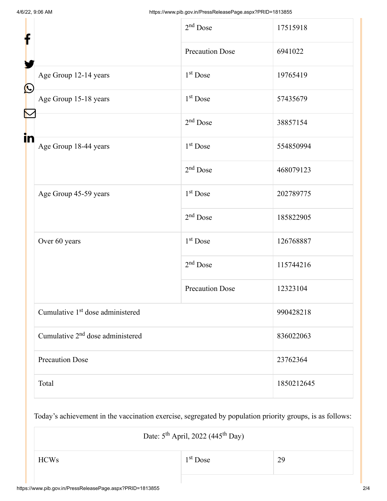| f                    |                                              | $2nd$ Dose             | 17515918   |
|----------------------|----------------------------------------------|------------------------|------------|
|                      |                                              | <b>Precaution Dose</b> | 6941022    |
| $\bigcirc$           | Age Group 12-14 years                        | $1st$ Dose             | 19765419   |
|                      | Age Group 15-18 years                        | $1st$ Dose             | 57435679   |
| $\blacktriangledown$ |                                              | $2nd$ Dose             | 38857154   |
| in                   | Age Group 18-44 years                        | $1st$ Dose             | 554850994  |
|                      |                                              | $2nd$ Dose             | 468079123  |
|                      | Age Group 45-59 years                        | $1st$ Dose             | 202789775  |
|                      |                                              | $2nd$ Dose             | 185822905  |
|                      | Over 60 years                                | $1st$ Dose             | 126768887  |
|                      |                                              | $2nd$ Dose             | 115744216  |
|                      |                                              | <b>Precaution Dose</b> | 12323104   |
|                      | Cumulative 1 <sup>st</sup> dose administered |                        | 990428218  |
|                      | Cumulative 2 <sup>nd</sup> dose administered |                        | 836022063  |
|                      | <b>Precaution Dose</b>                       |                        | 23762364   |
|                      | Total                                        |                        | 1850212645 |

Today's achievement in the vaccination exercise, segregated by population priority groups, is as follows:

| Date: $5^{\text{th}}$ April, 2022 (445 <sup>th</sup> Day) |            |    |  |  |
|-----------------------------------------------------------|------------|----|--|--|
| <b>HCWs</b>                                               | $1st$ Dose | 29 |  |  |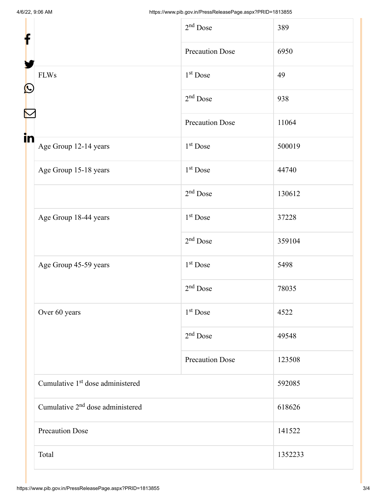| f                                            | $2nd$ Dose             | 389     |
|----------------------------------------------|------------------------|---------|
|                                              | <b>Precaution Dose</b> | 6950    |
| <b>FLWs</b><br>$\mathbf{\Omega}$             | $1st$ Dose             | 49      |
|                                              | $2nd$ Dose             | 938     |
|                                              | <b>Precaution Dose</b> | 11064   |
| in<br>Age Group 12-14 years                  | $1st$ Dose             | 500019  |
| Age Group 15-18 years                        | $1st$ Dose             | 44740   |
|                                              | $2nd$ Dose             | 130612  |
| Age Group 18-44 years                        | $1st$ Dose             | 37228   |
|                                              | $2nd$ Dose             | 359104  |
| Age Group 45-59 years                        | $1st$ Dose             | 5498    |
|                                              | $2nd$ Dose             | 78035   |
| Over 60 years                                | 1 <sup>st</sup> Dose   | 4522    |
|                                              | $2nd$ Dose             | 49548   |
|                                              | <b>Precaution Dose</b> | 123508  |
| Cumulative 1 <sup>st</sup> dose administered |                        | 592085  |
| Cumulative 2 <sup>nd</sup> dose administered |                        | 618626  |
| <b>Precaution Dose</b>                       |                        | 141522  |
| Total                                        |                        | 1352233 |